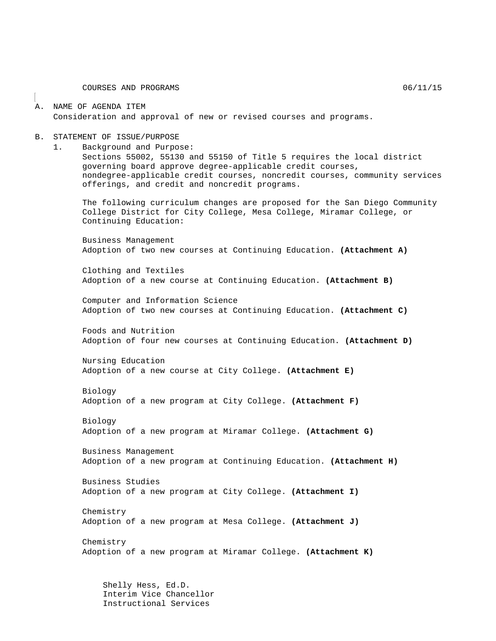COURSES AND PROGRAMS  $06/11/15$ 

### A. NAME OF AGENDA ITEM Consideration and approval of new or revised courses and programs.

### B. STATEMENT OF ISSUE/PURPOSE

1. Background and Purpose:

Sections 55002, 55130 and 55150 of Title 5 requires the local district governing board approve degree-applicable credit courses, nondegree-applicable credit courses, noncredit courses, community services offerings, and credit and noncredit programs.

The following curriculum changes are proposed for the San Diego Community College District for City College, Mesa College, Miramar College, or Continuing Education:

Business Management Adoption of two new courses at Continuing Education. **(Attachment A)**

Clothing and Textiles Adoption of a new course at Continuing Education. **(Attachment B)**

Computer and Information Science Adoption of two new courses at Continuing Education. **(Attachment C)**

Foods and Nutrition Adoption of four new courses at Continuing Education. **(Attachment D)**

Nursing Education Adoption of a new course at City College. **(Attachment E)**

Biology

Adoption of a new program at City College. **(Attachment F)**

Biology Adoption of a new program at Miramar College. **(Attachment G)**

Business Management Adoption of a new program at Continuing Education. **(Attachment H)**

Business Studies Adoption of a new program at City College. **(Attachment I)**

Chemistry Adoption of a new program at Mesa College. **(Attachment J)**

Chemistry Adoption of a new program at Miramar College. **(Attachment K)**

Shelly Hess, Ed.D. Interim Vice Chancellor Instructional Services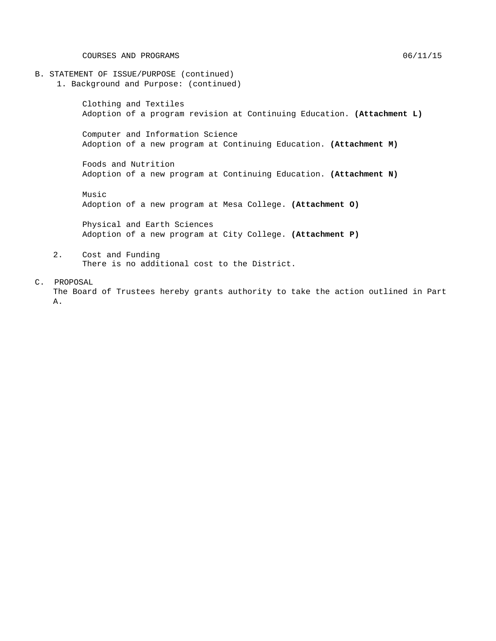COURSES AND PROGRAMS  $06/11/15$ 

- B. STATEMENT OF ISSUE/PURPOSE (continued)
	- 1. Background and Purpose: (continued)

Clothing and Textiles Adoption of a program revision at Continuing Education. **(Attachment L)**

Computer and Information Science Adoption of a new program at Continuing Education. **(Attachment M)**

Foods and Nutrition Adoption of a new program at Continuing Education. **(Attachment N)**

Music Adoption of a new program at Mesa College. **(Attachment O)**

Physical and Earth Sciences Adoption of a new program at City College. **(Attachment P)**

2. Cost and Funding There is no additional cost to the District.

#### C. PROPOSAL

The Board of Trustees hereby grants authority to take the action outlined in Part A.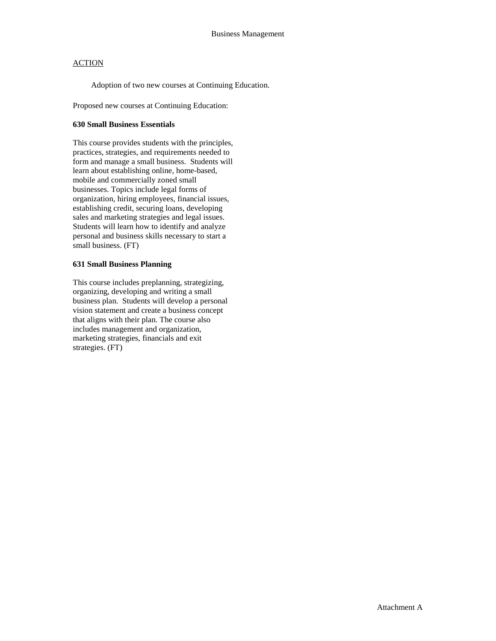Adoption of two new courses at Continuing Education.

Proposed new courses at Continuing Education:

### **630 Small Business Essentials**

This course provides students with the principles, practices, strategies, and requirements needed to form and manage a small business. Students will learn about establishing online, home-based, mobile and commercially zoned small businesses. Topics include legal forms of organization, hiring employees, financial issues, establishing credit, securing loans, developing sales and marketing strategies and legal issues. Students will learn how to identify and analyze personal and business skills necessary to start a small business. (FT)

### **631 Small Business Planning**

This course includes preplanning, strategizing, organizing, developing and writing a small business plan. Students will develop a personal vision statement and create a business concept that aligns with their plan. The course also includes management and organization, marketing strategies, financials and exit strategies. (FT)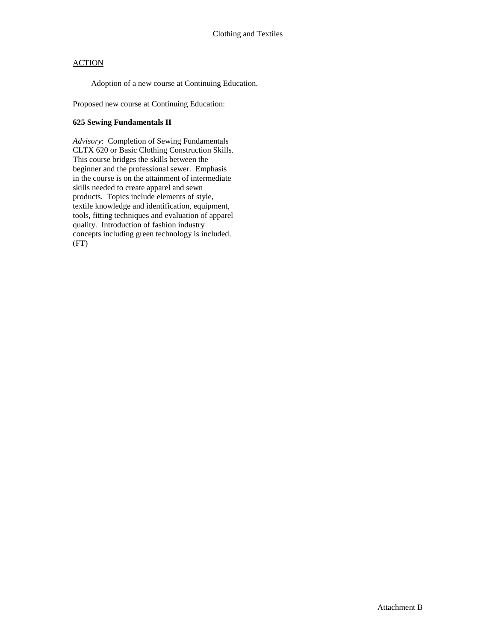Adoption of a new course at Continuing Education.

Proposed new course at Continuing Education:

### **625 Sewing Fundamentals II**

*Advisory*: Completion of Sewing Fundamentals CLTX 620 or Basic Clothing Construction Skills. This course bridges the skills between the beginner and the professional sewer. Emphasis in the course is on the attainment of intermediate skills needed to create apparel and sewn products. Topics include elements of style, textile knowledge and identification, equipment, tools, fitting techniques and evaluation of apparel quality. Introduction of fashion industry concepts including green technology is included. (FT)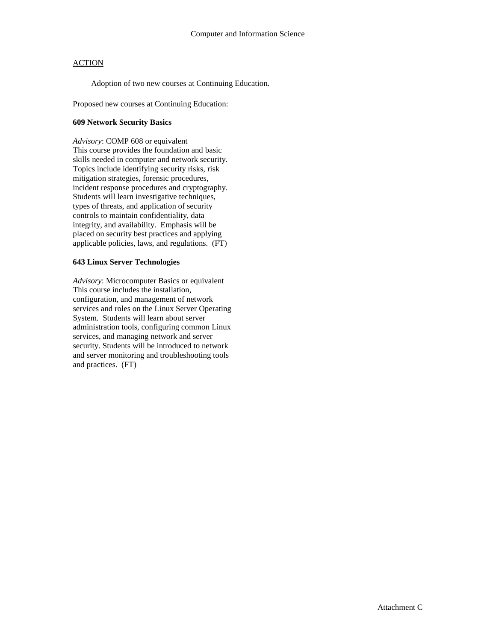Adoption of two new courses at Continuing Education.

Proposed new courses at Continuing Education:

### **609 Network Security Basics**

*Advisory*: COMP 608 or equivalent This course provides the foundation and basic skills needed in computer and network security. Topics include identifying security risks, risk mitigation strategies, forensic procedures, incident response procedures and cryptography. Students will learn investigative techniques, types of threats, and application of security controls to maintain confidentiality, data integrity, and availability. Emphasis will be placed on security best practices and applying applicable policies, laws, and regulations. (FT)

### **643 Linux Server Technologies**

*Advisory*: Microcomputer Basics or equivalent This course includes the installation, configuration, and management of network services and roles on the Linux Server Operating System. Students will learn about server administration tools, configuring common Linux services, and managing network and server security. Students will be introduced to network and server monitoring and troubleshooting tools and practices. (FT)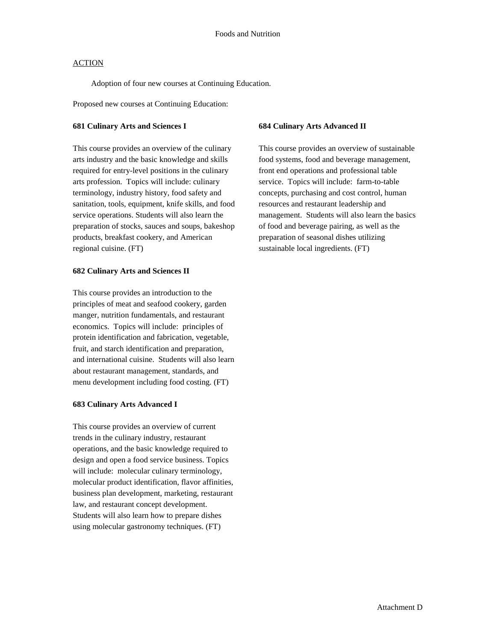Adoption of four new courses at Continuing Education.

Proposed new courses at Continuing Education:

#### **681 Culinary Arts and Sciences I**

This course provides an overview of the culinary arts industry and the basic knowledge and skills required for entry-level positions in the culinary arts profession. Topics will include: culinary terminology, industry history, food safety and sanitation, tools, equipment, knife skills, and food service operations. Students will also learn the preparation of stocks, sauces and soups, bakeshop products, breakfast cookery, and American regional cuisine. (FT)

### **682 Culinary Arts and Sciences II**

This course provides an introduction to the principles of meat and seafood cookery, garden manger, nutrition fundamentals, and restaurant economics. Topics will include: principles of protein identification and fabrication, vegetable, fruit, and starch identification and preparation, and international cuisine. Students will also learn about restaurant management, standards, and menu development including food costing. (FT)

### **683 Culinary Arts Advanced I**

This course provides an overview of current trends in the culinary industry, restaurant operations, and the basic knowledge required to design and open a food service business. Topics will include: molecular culinary terminology, molecular product identification, flavor affinities, business plan development, marketing, restaurant law, and restaurant concept development. Students will also learn how to prepare dishes using molecular gastronomy techniques. (FT)

### **684 Culinary Arts Advanced II**

This course provides an overview of sustainable food systems, food and beverage management, front end operations and professional table service. Topics will include: farm-to-table concepts, purchasing and cost control, human resources and restaurant leadership and management. Students will also learn the basics of food and beverage pairing, as well as the preparation of seasonal dishes utilizing sustainable local ingredients. (FT)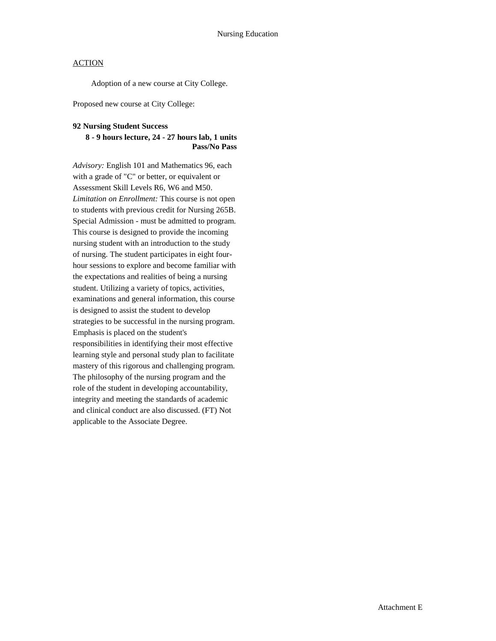Adoption of a new course at City College.

Proposed new course at City College:

### **92 Nursing Student Success**

### **8 - 9 hours lecture, 24 - 27 hours lab, 1 units Pass/No Pass**

*Advisory:* English 101 and Mathematics 96, each with a grade of "C" or better, or equivalent or Assessment Skill Levels R6, W6 and M50. *Limitation on Enrollment:* This course is not open to students with previous credit for Nursing 265B. Special Admission - must be admitted to program. This course is designed to provide the incoming nursing student with an introduction to the study of nursing. The student participates in eight fourhour sessions to explore and become familiar with the expectations and realities of being a nursing student. Utilizing a variety of topics, activities, examinations and general information, this course is designed to assist the student to develop strategies to be successful in the nursing program. Emphasis is placed on the student's responsibilities in identifying their most effective learning style and personal study plan to facilitate mastery of this rigorous and challenging program. The philosophy of the nursing program and the role of the student in developing accountability, integrity and meeting the standards of academic and clinical conduct are also discussed. (FT) Not applicable to the Associate Degree.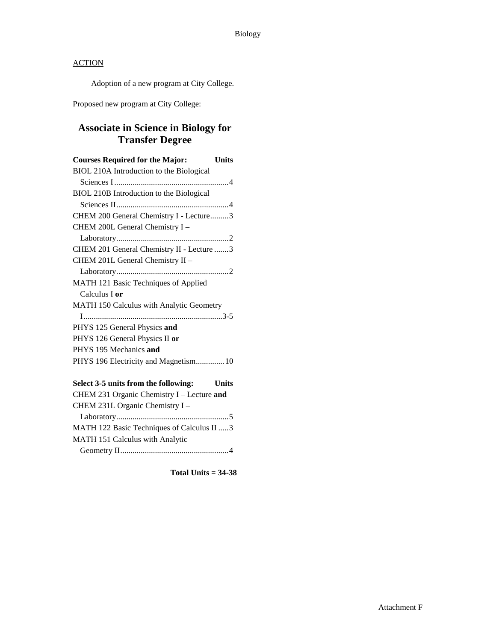Adoption of a new program at City College.

Proposed new program at City College:

# **Associate in Science in Biology for Transfer Degree**

| <b>Courses Required for the Major:</b><br>Units |
|-------------------------------------------------|
| BIOL 210A Introduction to the Biological        |
|                                                 |
| BIOL 210B Introduction to the Biological        |
|                                                 |
| CHEM 200 General Chemistry I - Lecture3         |
| CHEM 200L General Chemistry I -                 |
|                                                 |
| CHEM 201 General Chemistry II - Lecture 3       |
| CHEM 201L General Chemistry II -                |
|                                                 |
| MATH 121 Basic Techniques of Applied            |
| Calculus I <b>or</b>                            |
| MATH 150 Calculus with Analytic Geometry        |
|                                                 |
| PHYS 125 General Physics and                    |
| PHYS 126 General Physics II or                  |
| PHYS 195 Mechanics and                          |
| PHYS 196 Electricity and Magnetism 10           |
| Select 3-5 units from the following:<br>Units   |

| CHEM 231 Organic Chemistry I - Lecture and |
|--------------------------------------------|
| CHEM 231L Organic Chemistry I -            |
|                                            |
| MATH 122 Basic Techniques of Calculus II 3 |
| MATH 151 Calculus with Analytic            |
|                                            |

**Total Units = 34-38**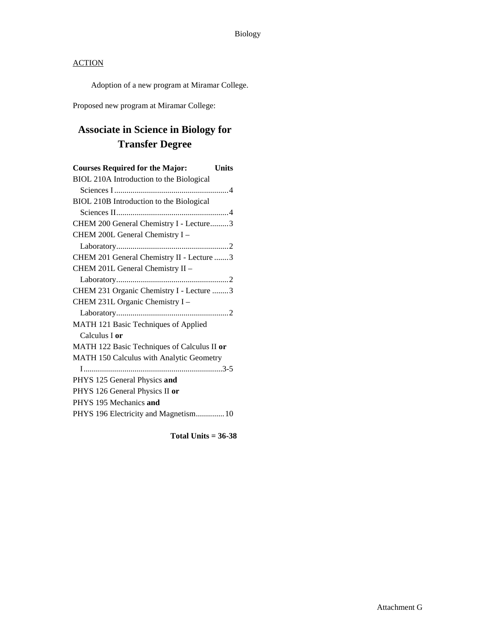Adoption of a new program at Miramar College.

Proposed new program at Miramar College:

# **Associate in Science in Biology for Transfer Degree**

| <b>Courses Required for the Major:</b><br><b>Units</b> |  |
|--------------------------------------------------------|--|
| BIOL 210A Introduction to the Biological               |  |
|                                                        |  |
| BIOL 210B Introduction to the Biological               |  |
|                                                        |  |
| CHEM 200 General Chemistry I - Lecture3                |  |
| CHEM 200L General Chemistry I -                        |  |
|                                                        |  |
| CHEM 201 General Chemistry II - Lecture 3              |  |
| CHEM 201L General Chemistry II -                       |  |
|                                                        |  |
| CHEM 231 Organic Chemistry I - Lecture 3               |  |
| CHEM 231L Organic Chemistry I-                         |  |
|                                                        |  |
| MATH 121 Basic Techniques of Applied                   |  |
| Calculus I or                                          |  |
| MATH 122 Basic Techniques of Calculus II or            |  |
| MATH 150 Calculus with Analytic Geometry               |  |
|                                                        |  |
| PHYS 125 General Physics and                           |  |
| PHYS 126 General Physics II or                         |  |
| PHYS 195 Mechanics and                                 |  |
| PHYS 196 Electricity and Magnetism10                   |  |
|                                                        |  |

**Total Units = 36-38**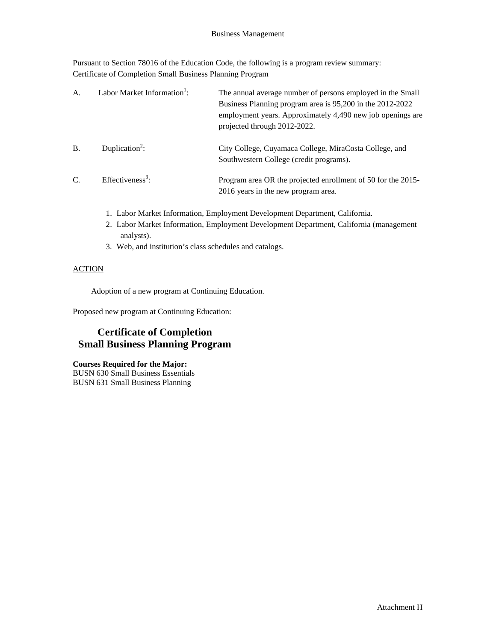Pursuant to Section 78016 of the Education Code, the following is a program review summary: Certificate of Completion Small Business Planning Program

| A.        | Labor Market Information <sup>1</sup> : | The annual average number of persons employed in the Small<br>Business Planning program area is 95,200 in the 2012-2022<br>employment years. Approximately 4,490 new job openings are<br>projected through 2012-2022. |
|-----------|-----------------------------------------|-----------------------------------------------------------------------------------------------------------------------------------------------------------------------------------------------------------------------|
| <b>B.</b> | Duplication <sup>2</sup> :              | City College, Cuyamaca College, MiraCosta College, and<br>Southwestern College (credit programs).                                                                                                                     |
| C.        | Effectiveness <sup>3</sup> :            | Program area OR the projected enrollment of 50 for the 2015-<br>2016 years in the new program area.                                                                                                                   |

- 1. Labor Market Information, Employment Development Department, California.
- 2. Labor Market Information, Employment Development Department, California (management analysts).
- 3. Web, and institution's class schedules and catalogs.

### **ACTION**

Adoption of a new program at Continuing Education.

Proposed new program at Continuing Education:

# **Certificate of Completion Small Business Planning Program**

**Courses Required for the Major:**

BUSN 630 Small Business Essentials BUSN 631 Small Business Planning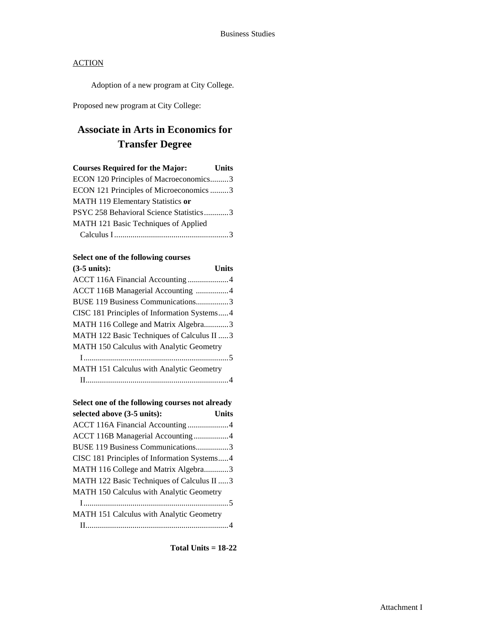Adoption of a new program at City College.

Proposed new program at City College:

# **Associate in Arts in Economics for Transfer Degree**

| <b>Courses Required for the Major:</b>  | <b>Units</b> |
|-----------------------------------------|--------------|
| ECON 120 Principles of Macroeconomics3  |              |
| ECON 121 Principles of Microeconomics 3 |              |
| MATH 119 Elementary Statistics or       |              |
| PSYC 258 Behavioral Science Statistics3 |              |
| MATH 121 Basic Techniques of Applied    |              |
|                                         |              |

## **Select one of the following courses**

| $(3-5 \text{ units})$ :                     | <b>Units</b> |
|---------------------------------------------|--------------|
|                                             |              |
| ACCT 116B Managerial Accounting 4           |              |
| BUSE 119 Business Communications3           |              |
| CISC 181 Principles of Information Systems4 |              |
| MATH 116 College and Matrix Algebra3        |              |
| MATH 122 Basic Techniques of Calculus II 3  |              |
| MATH 150 Calculus with Analytic Geometry    |              |
|                                             |              |
| MATH 151 Calculus with Analytic Geometry    |              |
|                                             |              |

| Select one of the following courses not already |              |
|-------------------------------------------------|--------------|
| selected above (3-5 units):                     | <b>Units</b> |
| ACCT 116A Financial Accounting4                 |              |
| ACCT 116B Managerial Accounting 4               |              |
| BUSE 119 Business Communications3               |              |
| CISC 181 Principles of Information Systems4     |              |
| MATH 116 College and Matrix Algebra3            |              |
| MATH 122 Basic Techniques of Calculus II 3      |              |
| MATH 150 Calculus with Analytic Geometry        |              |
|                                                 |              |
| MATH 151 Calculus with Analytic Geometry        |              |
|                                                 |              |

**Total Units = 18-22**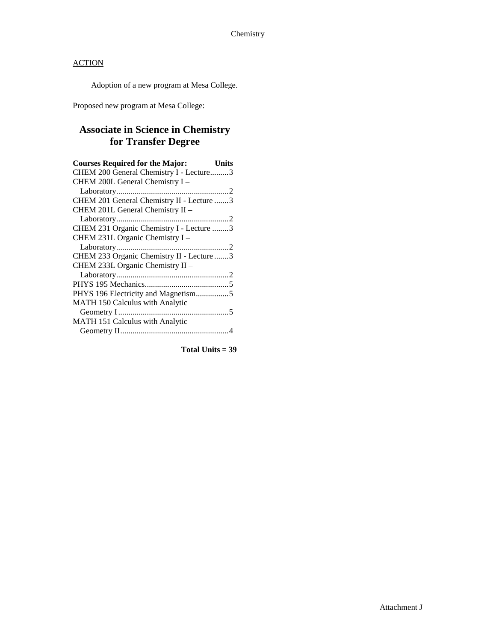Adoption of a new program at Mesa College.

Proposed new program at Mesa College:

# **Associate in Science in Chemistry for Transfer Degree**

| <b>Courses Required for the Major:</b>    | Units |
|-------------------------------------------|-------|
| CHEM 200 General Chemistry I - Lecture3   |       |
| CHEM 200L General Chemistry I -           |       |
|                                           |       |
| CHEM 201 General Chemistry II - Lecture 3 |       |
| CHEM 201L General Chemistry II -          |       |
|                                           |       |
| CHEM 231 Organic Chemistry I - Lecture 3  |       |
| CHEM 231L Organic Chemistry I -           |       |
|                                           |       |
| CHEM 233 Organic Chemistry II - Lecture 3 |       |
| CHEM 233L Organic Chemistry II -          |       |
|                                           |       |
|                                           |       |
| PHYS 196 Electricity and Magnetism5       |       |
| MATH 150 Calculus with Analytic           |       |
|                                           |       |
| MATH 151 Calculus with Analytic           |       |
|                                           |       |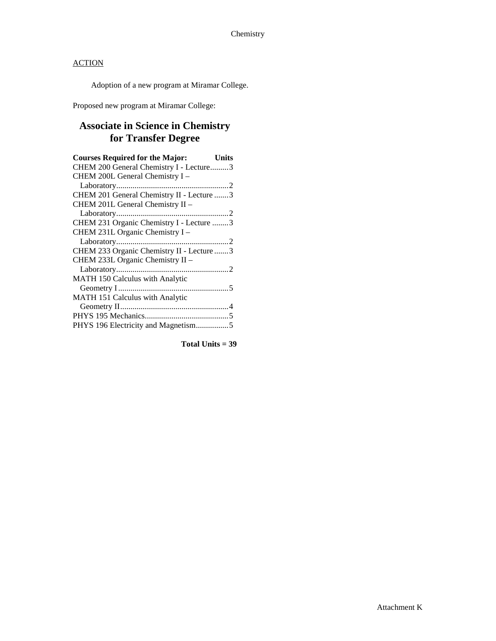Adoption of a new program at Miramar College.

Proposed new program at Miramar College:

# **Associate in Science in Chemistry for Transfer Degree**

| <b>Courses Required for the Major:</b><br>Units |
|-------------------------------------------------|
| CHEM 200 General Chemistry I - Lecture3         |
| CHEM 200L General Chemistry I -                 |
|                                                 |
| CHEM 201 General Chemistry II - Lecture 3       |
| CHEM 201L General Chemistry II -                |
|                                                 |
| CHEM 231 Organic Chemistry I - Lecture 3        |
| CHEM 231L Organic Chemistry I -                 |
|                                                 |
| CHEM 233 Organic Chemistry II - Lecture 3       |
| CHEM 233L Organic Chemistry II -                |
|                                                 |
| MATH 150 Calculus with Analytic                 |
|                                                 |
| MATH 151 Calculus with Analytic                 |
|                                                 |
|                                                 |
| PHYS 196 Electricity and Magnetism5             |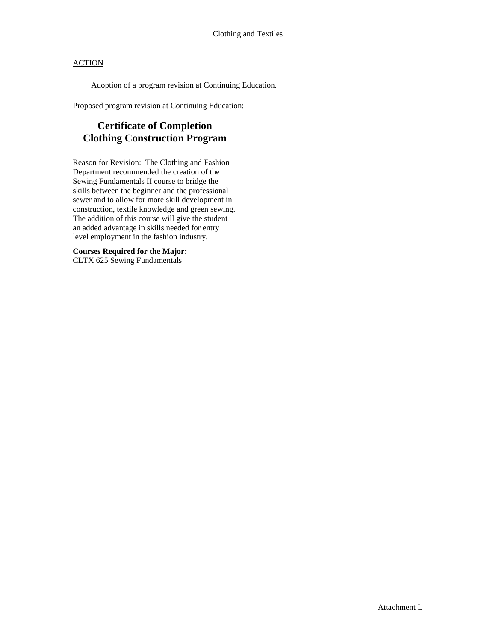Adoption of a program revision at Continuing Education.

Proposed program revision at Continuing Education:

# **Certificate of Completion Clothing Construction Program**

Reason for Revision: The Clothing and Fashion Department recommended the creation of the Sewing Fundamentals II course to bridge the skills between the beginner and the professional sewer and to allow for more skill development in construction, textile knowledge and green sewing. The addition of this course will give the student an added advantage in skills needed for entry level employment in the fashion industry.

**Courses Required for the Major:** CLTX 625 Sewing Fundamentals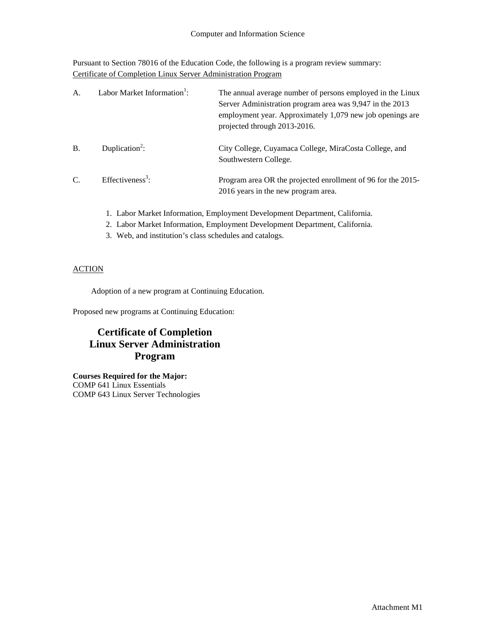Pursuant to Section 78016 of the Education Code, the following is a program review summary: Certificate of Completion Linux Server Administration Program

| A.            | Labor Market Information <sup>1</sup> : | The annual average number of persons employed in the Linux<br>Server Administration program area was 9,947 in the 2013<br>employment year. Approximately 1,079 new job openings are<br>projected through 2013-2016. |
|---------------|-----------------------------------------|---------------------------------------------------------------------------------------------------------------------------------------------------------------------------------------------------------------------|
| <b>B.</b>     | Duplication <sup>2</sup> :              | City College, Cuyamaca College, MiraCosta College, and<br>Southwestern College.                                                                                                                                     |
| $\mathcal{C}$ | Effectiveness <sup>3</sup> :            | Program area OR the projected enrollment of 96 for the 2015-<br>2016 years in the new program area.                                                                                                                 |

- 1. Labor Market Information, Employment Development Department, California.
- 2. Labor Market Information, Employment Development Department, California.
- 3. Web, and institution's class schedules and catalogs.

## **ACTION**

Adoption of a new program at Continuing Education.

Proposed new programs at Continuing Education:

# **Certificate of Completion Linux Server Administration Program**

**Courses Required for the Major:** COMP 641 Linux Essentials COMP 643 Linux Server Technologies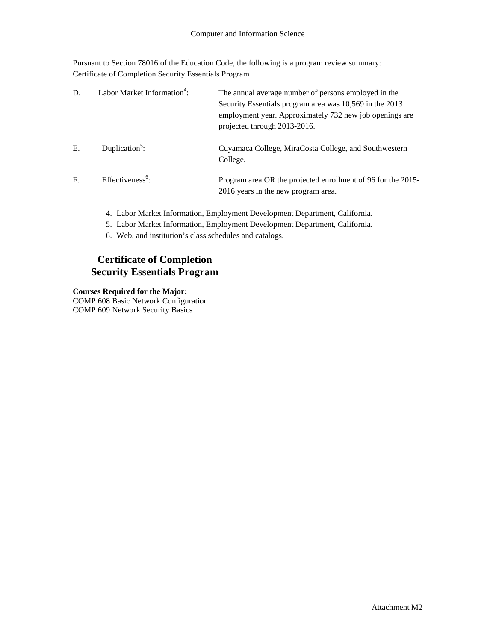Pursuant to Section 78016 of the Education Code, the following is a program review summary: Certificate of Completion Security Essentials Program

| D.           | Labor Market Information <sup>4</sup> : | The annual average number of persons employed in the<br>Security Essentials program area was 10,569 in the 2013<br>employment year. Approximately 732 new job openings are<br>projected through 2013-2016. |
|--------------|-----------------------------------------|------------------------------------------------------------------------------------------------------------------------------------------------------------------------------------------------------------|
| Ε.           | Duplication <sup>5</sup> :              | Cuyamaca College, MiraCosta College, and Southwestern<br>College.                                                                                                                                          |
| $\mathbf{F}$ | $Effectiveness6$ :                      | Program area OR the projected enrollment of 96 for the 2015-<br>2016 years in the new program area.                                                                                                        |

- 4. Labor Market Information, Employment Development Department, California.
- 5. Labor Market Information, Employment Development Department, California.
- 6. Web, and institution's class schedules and catalogs.

## **Certificate of Completion Security Essentials Program**

### **Courses Required for the Major:**

COMP 608 Basic Network Configuration COMP 609 Network Security Basics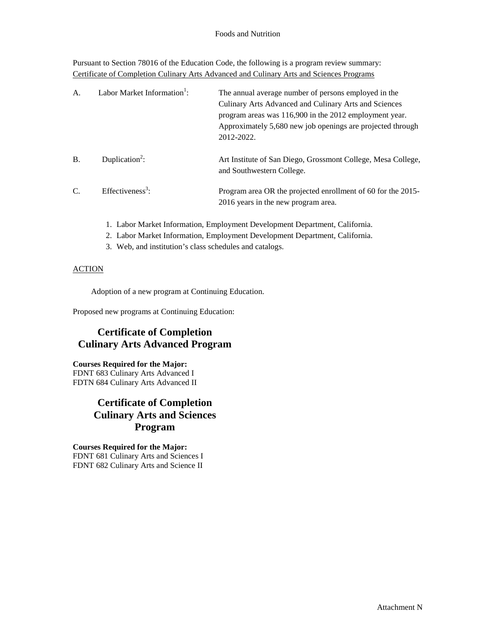Pursuant to Section 78016 of the Education Code, the following is a program review summary: Certificate of Completion Culinary Arts Advanced and Culinary Arts and Sciences Programs

| A.        | Labor Market Information <sup>1</sup> : | The annual average number of persons employed in the<br>Culinary Arts Advanced and Culinary Arts and Sciences<br>program areas was 116,900 in the 2012 employment year.<br>Approximately 5,680 new job openings are projected through<br>2012-2022. |
|-----------|-----------------------------------------|-----------------------------------------------------------------------------------------------------------------------------------------------------------------------------------------------------------------------------------------------------|
| <b>B.</b> | Duplication <sup>2</sup> :              | Art Institute of San Diego, Grossmont College, Mesa College,<br>and Southwestern College.                                                                                                                                                           |
| C.        | Effectiveness <sup>3</sup> :            | Program area OR the projected enrollment of 60 for the 2015-<br>2016 years in the new program area.                                                                                                                                                 |

- 1. Labor Market Information, Employment Development Department, California.
- 2. Labor Market Information, Employment Development Department, California.
- 3. Web, and institution's class schedules and catalogs.

### ACTION

Adoption of a new program at Continuing Education.

Proposed new programs at Continuing Education:

# **Certificate of Completion Culinary Arts Advanced Program**

### **Courses Required for the Major:**

FDNT 683 Culinary Arts Advanced I FDTN 684 Culinary Arts Advanced II

# **Certificate of Completion Culinary Arts and Sciences Program**

**Courses Required for the Major:** FDNT 681 Culinary Arts and Sciences I FDNT 682 Culinary Arts and Science II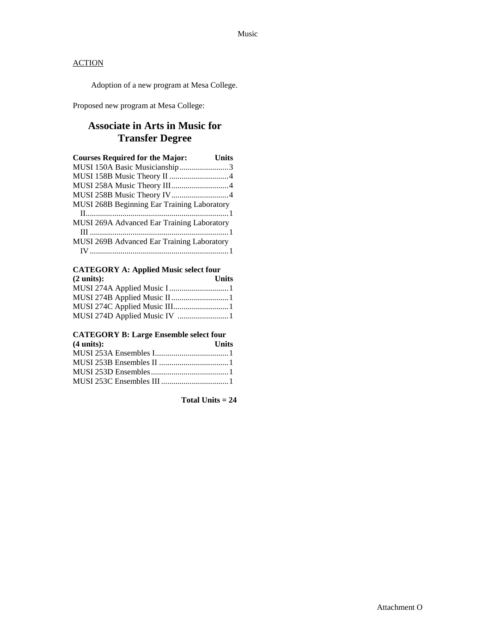Adoption of a new program at Mesa College.

Proposed new program at Mesa College:

## **Associate in Arts in Music for Transfer Degree**

| <b>Courses Required for the Major:</b>            | Units |
|---------------------------------------------------|-------|
| MUSI 150A Basic Musicianship3                     |       |
|                                                   |       |
|                                                   |       |
|                                                   |       |
| MUSI 268B Beginning Ear Training Laboratory       |       |
|                                                   |       |
| <b>MUSI 269A Advanced Ear Training Laboratory</b> |       |
|                                                   |       |
| <b>MUSI 269B Advanced Ear Training Laboratory</b> |       |
|                                                   |       |

### **CATEGORY A: Applied Music select four**  $(2 \text{ units})$ :

| MUSI 274D Applied Music IV 1 |
|------------------------------|

## **CATEGORY B: Large Ensemble select four**

| $(4 \text{ units})$ : | <b>Units</b> |
|-----------------------|--------------|
|                       |              |
|                       |              |
|                       |              |
|                       |              |